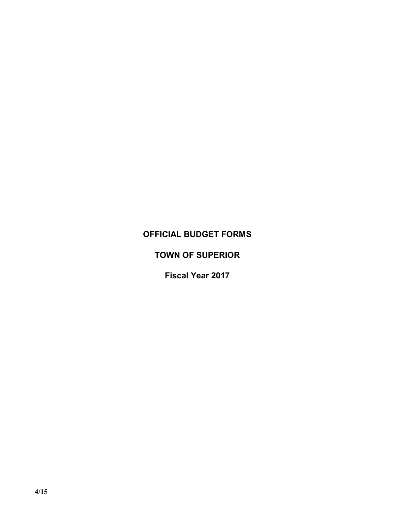# **OFFICIAL BUDGET FORMS**

# **TOWN OF SUPERIOR**

**Fiscal Year 2017**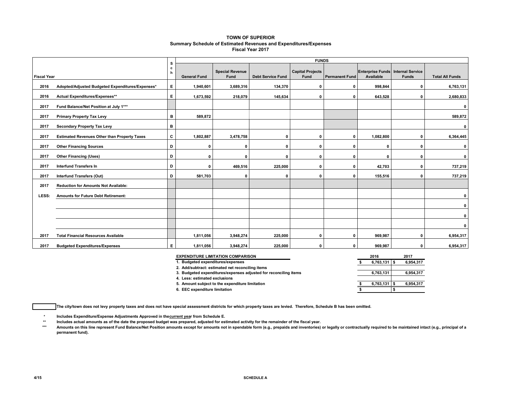#### **TOWN OF SUPERIOR Summary Schedule of Estimated Revenues and Expenditures/Expenses Fiscal Year 2017**

|                    |                                                     | s      | <b>FUNDS</b>        |                                |                          |                                 |                       |                                                |              |                        |
|--------------------|-----------------------------------------------------|--------|---------------------|--------------------------------|--------------------------|---------------------------------|-----------------------|------------------------------------------------|--------------|------------------------|
| <b>Fiscal Year</b> |                                                     | c<br>h | <b>General Fund</b> | <b>Special Revenue</b><br>Fund | <b>Debt Service Fund</b> | <b>Capital Projects</b><br>Fund | <b>Permanent Fund</b> | Enterprise Funds Internal Service<br>Available | <b>Funds</b> | <b>Total All Funds</b> |
| 2016               | Adopted/Adjusted Budgeted Expenditures/Expenses*    | Е      | 1,940,601           | 3,689,316                      | 134,370                  | 0                               | 0                     | 998,844                                        | 0            | 6,763,131              |
| 2016               | Actual Expenditures/Expenses**                      | E.     | 1,673,592           | 218,079                        | 145,634                  | 0                               | 0                     | 643,528                                        | 0            | 2,680,833              |
| 2017               | Fund Balance/Net Position at July 1***              |        |                     |                                |                          |                                 |                       |                                                |              | $\mathbf 0$            |
| 2017               | <b>Primary Property Tax Levy</b>                    | в      | 589,872             |                                |                          |                                 |                       |                                                |              | 589,872                |
| 2017               | <b>Secondary Property Tax Levy</b>                  | в      |                     |                                |                          |                                 |                       |                                                |              | 0                      |
| 2017               | <b>Estimated Revenues Other than Property Taxes</b> | C      | 1,802,887           | 3,478,758                      | $\Omega$                 | 0                               | 0                     | 1,082,800                                      | O            | 6,364,445              |
| 2017               | <b>Other Financing Sources</b>                      | D      | 0                   | 0                              | $\Omega$                 | $\Omega$                        | $\Omega$              | 0                                              | $\Omega$     | 0                      |
| 2017               | <b>Other Financing (Uses)</b>                       | D      | 0                   | $\mathbf{0}$                   | $\Omega$                 | 0                               | $\Omega$              | 0                                              | 0            | $\mathbf 0$            |
| 2017               | <b>Interfund Transfers In</b>                       | D      | 0                   | 469,516                        | 225,000                  | 0                               | 0                     | 42,703                                         | 0            | 737,219                |
| 2017               | <b>Interfund Transfers (Out)</b>                    | D      | 581,703             | 0                              | O                        | 0                               | 0                     | 155,516                                        | $\Omega$     | 737,219                |
| 2017               | <b>Reduction for Amounts Not Available:</b>         |        |                     |                                |                          |                                 |                       |                                                |              |                        |
| LESS:              | <b>Amounts for Future Debt Retirement:</b>          |        |                     |                                |                          |                                 |                       |                                                |              | 0                      |
|                    |                                                     |        |                     |                                |                          |                                 |                       |                                                |              | 0                      |
|                    |                                                     |        |                     |                                |                          |                                 |                       |                                                |              | 0                      |
|                    |                                                     |        |                     |                                |                          |                                 |                       |                                                |              | $\mathbf{0}$           |
| 2017               | <b>Total Financial Resources Available</b>          |        | 1,811,056           | 3,948,274                      | 225,000                  | 0                               | 0                     | 969,987                                        | $\Omega$     | 6,954,317              |
| 2017               | <b>Budgeted Expenditures/Expenses</b>               | E.     | 1,811,056           | 3,948,274                      | 225,000                  | 0                               | 0                     | 969,987                                        | 0            | 6,954,317              |

| <b>EXPENDITURE LIMITATION COMPARISON</b>                         | 2016           | 2017      |
|------------------------------------------------------------------|----------------|-----------|
| 1. Budgeted expenditures/expenses                                | 6,763,131      | 6,954,317 |
| 2. Add/subtract: estimated net reconciling items                 |                |           |
| 3. Budgeted expenditures/expenses adjusted for reconciling items | 6,763,131      | 6,954,317 |
| 4. Less: estimated exclusions                                    |                |           |
| 5. Amount subject to the expenditure limitation                  | $6,763,131$ \$ | 6,954,317 |
| 6. EEC expenditure limitation                                    |                |           |

**The city/town does not levy property taxes and does not have special assessment districts for which property taxes are levied. Therefore, Schedule B has been omitted.**

**\* Includes Expenditure/Expense Adjustments Approved in the current year from Schedule E.** 

**\*\* Includes actual amounts as of the date the proposed budget was prepared, adjusted for estimated activity for the remainder of the fiscal year.**

Amounts on this line represent Fund Balance/Net Position amounts except for amounts not in spendable form (e.g., prepaids and inventories) or legally or contractually required to be maintained intact (e.g., principal of a **permanent fund).**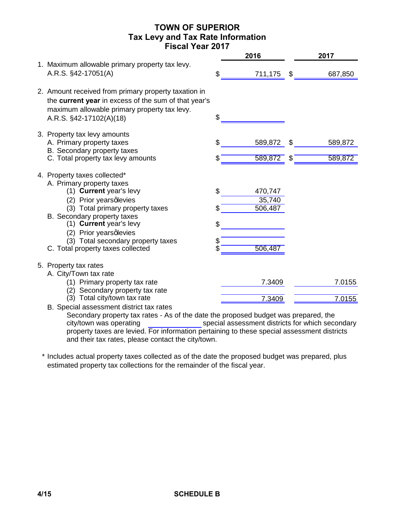## **TOWN OF SUPERIOR Tax Levy and Tax Rate Information Fiscal Year 2017**

|                                                                                                                                                                                                                                                                                                                                       | 2017                                           |
|---------------------------------------------------------------------------------------------------------------------------------------------------------------------------------------------------------------------------------------------------------------------------------------------------------------------------------------|------------------------------------------------|
| 1. Maximum allowable primary property tax levy.<br>A.R.S. §42-17051(A)<br>\$                                                                                                                                                                                                                                                          | 687,850<br>711,175<br>\$                       |
| 2. Amount received from primary property taxation in<br>the current year in excess of the sum of that year's<br>maximum allowable primary property tax levy.<br>\$<br>A.R.S. §42-17102(A)(18)                                                                                                                                         |                                                |
| 3. Property tax levy amounts<br>\$<br>A. Primary property taxes<br>B. Secondary property taxes<br>C. Total property tax levy amounts                                                                                                                                                                                                  | 589,872<br>\$<br>589,872<br>589,872<br>589,872 |
| 4. Property taxes collected*<br>A. Primary property taxes<br>(1) Current year's levy<br>\$<br>(2) Prior years qlevies<br>(3) Total primary property taxes<br>B. Secondary property taxes<br>(1) Current year's levy<br>\$<br>(2) Prior years qlevies<br>(3) Total secondary property taxes<br>\$<br>C. Total property taxes collected | 470,747<br>35,740<br>506,487<br>506,487        |
| 5. Property tax rates<br>A. City/Town tax rate<br>(1) Primary property tax rate<br>(2) Secondary property tax rate<br>(3) Total city/town tax rate                                                                                                                                                                                    | 7.3409<br>7.0155<br>7.3409<br>7.0155           |
| B. Special assessment district tax rates                                                                                                                                                                                                                                                                                              |                                                |

Secondary property tax rates - As of the date the proposed budget was prepared, the special assessment districts for which secondary property taxes are levied. For information pertaining to these special assessment districts and their tax rates, please contact the city/town. city/town was operating

\* Includes actual property taxes collected as of the date the proposed budget was prepared, plus estimated property tax collections for the remainder of the fiscal year.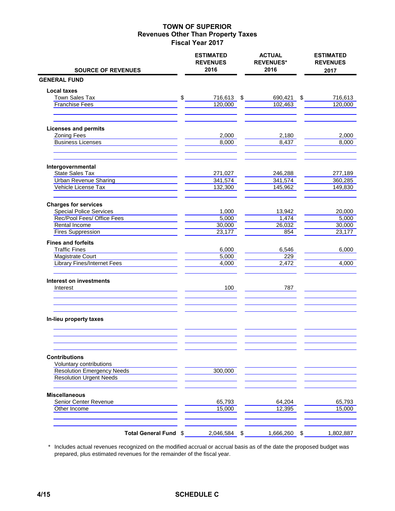|                                                               | <b>ESTIMATED</b><br><b>REVENUES</b><br>2016 | <b>ACTUAL</b><br><b>REVENUES*</b><br>2016 |                | <b>ESTIMATED</b><br><b>REVENUES</b> |
|---------------------------------------------------------------|---------------------------------------------|-------------------------------------------|----------------|-------------------------------------|
| <b>SOURCE OF REVENUES</b><br><b>GENERAL FUND</b>              |                                             |                                           |                | 2017                                |
| <b>Local taxes</b>                                            |                                             |                                           |                |                                     |
| Town Sales Tax                                                | \$<br>716,613 \$                            | 690,421                                   | $\mathfrak{P}$ | 716,613                             |
| <b>Franchise Fees</b>                                         | 120,000                                     | 102,463                                   |                | 120,000                             |
|                                                               |                                             |                                           |                |                                     |
| <b>Licenses and permits</b>                                   |                                             |                                           |                |                                     |
| <b>Zoning Fees</b>                                            | 2,000                                       | 2,180                                     |                | 2,000                               |
| <b>Business Licenses</b>                                      | 8,000                                       | 8,437                                     |                | 8,000                               |
| Intergovernmental                                             |                                             |                                           |                |                                     |
| <b>State Sales Tax</b>                                        | 271,027                                     | 246,288                                   |                | 277,189                             |
| <b>Urban Revenue Sharing</b>                                  | 341,574                                     | 341,574                                   |                | 360,285                             |
| Vehicle License Tax                                           | 132,300                                     | 145,962                                   |                | 149,830                             |
| <b>Charges for services</b>                                   |                                             |                                           |                |                                     |
| <b>Special Police Services</b>                                | 1,000                                       | 13,942                                    |                | 20,000                              |
| Rec/Pool Fees/ Office Fees                                    | 5,000                                       | 1,474                                     |                | 5,000                               |
| Rental Income                                                 | 30,000                                      | 26,032                                    |                | 30,000                              |
| <b>Fires Suppression</b>                                      | 23,177                                      | 854                                       |                | 23,177                              |
| <b>Fines and forfeits</b>                                     |                                             |                                           |                |                                     |
| <b>Traffic Fines</b>                                          | 6,000                                       | 6,546<br>229                              |                | 6,000                               |
| <b>Magistrate Court</b><br><b>Library Fines/Internet Fees</b> | 5,000<br>4,000                              | 2,472                                     |                | 4,000                               |
| <b>Interest on investments</b>                                |                                             |                                           |                |                                     |
| Interest                                                      | 100                                         | 787                                       |                |                                     |
|                                                               |                                             |                                           |                |                                     |
| In-lieu property taxes                                        |                                             |                                           |                |                                     |
|                                                               |                                             |                                           |                |                                     |
| <b>Contributions</b><br>Voluntary contributions               |                                             |                                           |                |                                     |
| <b>Resolution Emergency Needs</b>                             | 300,000                                     |                                           |                |                                     |
| <b>Resolution Urgent Needs</b>                                |                                             |                                           |                |                                     |
| <b>Miscellaneous</b>                                          |                                             |                                           |                |                                     |
| Senior Center Revenue                                         | 65,793                                      | 64,204                                    |                | 65,793                              |
| Other Income                                                  | 15,000                                      | 12,395                                    |                | 15,000                              |
| Total General Fund \$                                         | 2,046,584 \$                                | 1,666,260                                 | -\$            | 1,802,887                           |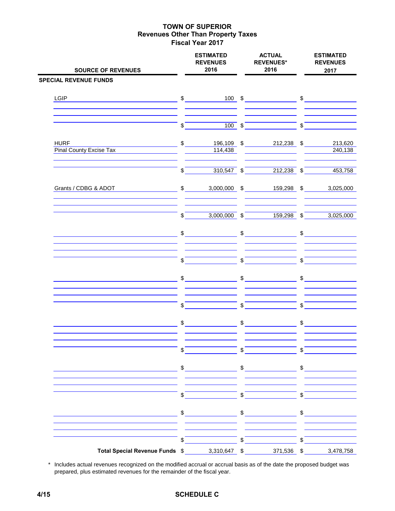| <b>SOURCE OF REVENUES</b>                                                                                                                                                    |                         | <b>ESTIMATED</b><br><b>REVENUES</b><br>2016                                                                                                                                                                                                                                                                                                                                                                                     | <b>ACTUAL</b><br><b>REVENUES*</b><br>2016 |                                                                                                                                                                                                                                                                                                                                                                                                                                                                 |                          | <b>ESTIMATED</b><br><b>REVENUES</b><br>2017 |  |  |
|------------------------------------------------------------------------------------------------------------------------------------------------------------------------------|-------------------------|---------------------------------------------------------------------------------------------------------------------------------------------------------------------------------------------------------------------------------------------------------------------------------------------------------------------------------------------------------------------------------------------------------------------------------|-------------------------------------------|-----------------------------------------------------------------------------------------------------------------------------------------------------------------------------------------------------------------------------------------------------------------------------------------------------------------------------------------------------------------------------------------------------------------------------------------------------------------|--------------------------|---------------------------------------------|--|--|
| <b>SPECIAL REVENUE FUNDS</b>                                                                                                                                                 |                         |                                                                                                                                                                                                                                                                                                                                                                                                                                 |                                           |                                                                                                                                                                                                                                                                                                                                                                                                                                                                 |                          |                                             |  |  |
| LGIP                                                                                                                                                                         |                         | $\frac{1}{2}$                                                                                                                                                                                                                                                                                                                                                                                                                   |                                           | $100 \quad$ \$                                                                                                                                                                                                                                                                                                                                                                                                                                                  |                          |                                             |  |  |
|                                                                                                                                                                              | $\sqrt{s}$              |                                                                                                                                                                                                                                                                                                                                                                                                                                 |                                           |                                                                                                                                                                                                                                                                                                                                                                                                                                                                 |                          |                                             |  |  |
| <b>HURF</b><br>$\overline{\phantom{a}}$ $\overline{\phantom{a}}$ $\overline{\phantom{a}}$ $\overline{\phantom{a}}$<br>Pinal County Excise Tax <b>Pinal County Excise Tax</b> |                         |                                                                                                                                                                                                                                                                                                                                                                                                                                 |                                           | 196,109 \$ 212,238 \$                                                                                                                                                                                                                                                                                                                                                                                                                                           |                          | 213,620<br>240,138                          |  |  |
|                                                                                                                                                                              | $\sqrt{s}$              |                                                                                                                                                                                                                                                                                                                                                                                                                                 |                                           | $\overline{310,547}$ \$ $\overline{212,238}$ \$                                                                                                                                                                                                                                                                                                                                                                                                                 |                          | 453,758                                     |  |  |
| Grants / CDBG & ADOT                                                                                                                                                         |                         |                                                                                                                                                                                                                                                                                                                                                                                                                                 |                                           | \$ 3,000,000 \$ 159,298 \$ 3,025,000                                                                                                                                                                                                                                                                                                                                                                                                                            |                          |                                             |  |  |
|                                                                                                                                                                              | $\sqrt[6]{\frac{1}{2}}$ |                                                                                                                                                                                                                                                                                                                                                                                                                                 |                                           | $3,000,000$ \$ 159,298 \$                                                                                                                                                                                                                                                                                                                                                                                                                                       |                          | 3,025,000                                   |  |  |
|                                                                                                                                                                              |                         |                                                                                                                                                                                                                                                                                                                                                                                                                                 |                                           | $\begin{array}{ccc}\n\text{\$} & \text{\$} & \text{\$} & \text{\$} & \text{\$} & \text{\$} & \text{\$} & \text{\$} & \text{\$} & \text{\$} & \text{\$} & \text{\$} & \text{\$} & \text{\$} & \text{\$} & \text{\$} & \text{\$} & \text{\$} & \text{\$} & \text{\$} & \text{\$} & \text{\$} & \text{\$} & \text{\$} & \text{\$} & \text{\$} & \text{\$} & \text{\$} & \text{\$} & \text{\$} & \text{\$} & \text{\$} & \text{\$} & \text{\$} & \text{\$} & \text$ |                          |                                             |  |  |
|                                                                                                                                                                              | $\mathsf{S}$            |                                                                                                                                                                                                                                                                                                                                                                                                                                 | $\int$                                    |                                                                                                                                                                                                                                                                                                                                                                                                                                                                 | $\sqrt{s}$               |                                             |  |  |
|                                                                                                                                                                              |                         | $\frac{1}{2}$                                                                                                                                                                                                                                                                                                                                                                                                                   |                                           | $\frac{1}{2}$                                                                                                                                                                                                                                                                                                                                                                                                                                                   |                          | $\sim$                                      |  |  |
|                                                                                                                                                                              | $\frac{1}{2}$           |                                                                                                                                                                                                                                                                                                                                                                                                                                 | $\sqrt[3]{\qquad}$                        |                                                                                                                                                                                                                                                                                                                                                                                                                                                                 |                          | $\sqrt{5}$                                  |  |  |
|                                                                                                                                                                              |                         | $\frac{1}{2}$                                                                                                                                                                                                                                                                                                                                                                                                                   |                                           | $\frac{1}{2}$                                                                                                                                                                                                                                                                                                                                                                                                                                                   |                          | $\frac{1}{2}$                               |  |  |
|                                                                                                                                                                              | \$                      |                                                                                                                                                                                                                                                                                                                                                                                                                                 | \$                                        |                                                                                                                                                                                                                                                                                                                                                                                                                                                                 | \$                       |                                             |  |  |
|                                                                                                                                                                              |                         | $\frac{1}{2}$                                                                                                                                                                                                                                                                                                                                                                                                                   |                                           | $\frac{1}{2}$                                                                                                                                                                                                                                                                                                                                                                                                                                                   |                          | $\sim$                                      |  |  |
|                                                                                                                                                                              | \$                      |                                                                                                                                                                                                                                                                                                                                                                                                                                 | $\overline{\mathcal{S}}$                  |                                                                                                                                                                                                                                                                                                                                                                                                                                                                 | $\overline{\mathcal{S}}$ |                                             |  |  |
|                                                                                                                                                                              |                         | $\frac{1}{\sqrt{1-\frac{1}{2}}}\frac{1}{\sqrt{1-\frac{1}{2}}}\frac{1}{\sqrt{1-\frac{1}{2}}}\frac{1}{\sqrt{1-\frac{1}{2}}}\frac{1}{\sqrt{1-\frac{1}{2}}}\frac{1}{\sqrt{1-\frac{1}{2}}}\frac{1}{\sqrt{1-\frac{1}{2}}}\frac{1}{\sqrt{1-\frac{1}{2}}}\frac{1}{\sqrt{1-\frac{1}{2}}}\frac{1}{\sqrt{1-\frac{1}{2}}}\frac{1}{\sqrt{1-\frac{1}{2}}}\frac{1}{\sqrt{1-\frac{1}{2}}}\frac{1}{\sqrt{1-\frac{1}{2}}}\frac{1}{\sqrt{1-\frac{$ |                                           | $\frac{1}{\sqrt{1-\frac{1}{2}}}\frac{1}{\sqrt{1-\frac{1}{2}}}\frac{1}{\sqrt{1-\frac{1}{2}}}\frac{1}{\sqrt{1-\frac{1}{2}}}\frac{1}{\sqrt{1-\frac{1}{2}}}\frac{1}{\sqrt{1-\frac{1}{2}}}\frac{1}{\sqrt{1-\frac{1}{2}}}\frac{1}{\sqrt{1-\frac{1}{2}}}\frac{1}{\sqrt{1-\frac{1}{2}}}\frac{1}{\sqrt{1-\frac{1}{2}}}\frac{1}{\sqrt{1-\frac{1}{2}}}\frac{1}{\sqrt{1-\frac{1}{2}}}\frac{1}{\sqrt{1-\frac{1}{2}}}\frac{1}{\sqrt{1-\frac{$                                 |                          | $\frac{1}{2}$                               |  |  |
|                                                                                                                                                                              | $\mathsf{s}$            |                                                                                                                                                                                                                                                                                                                                                                                                                                 | $\sqrt{3}$                                |                                                                                                                                                                                                                                                                                                                                                                                                                                                                 | \$                       |                                             |  |  |
| Total Special Revenue Funds \$                                                                                                                                               |                         | 3,310,647 \$                                                                                                                                                                                                                                                                                                                                                                                                                    |                                           | 371,536 \$                                                                                                                                                                                                                                                                                                                                                                                                                                                      |                          | 3,478,758                                   |  |  |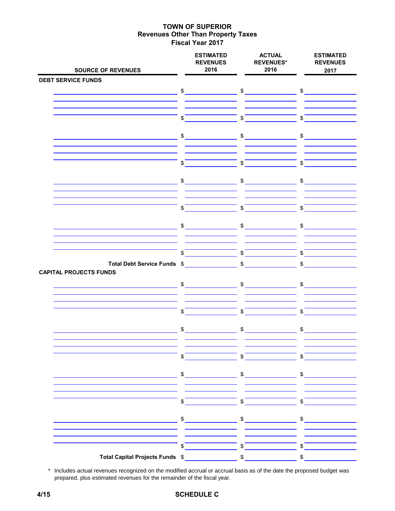| <b>SOURCE OF REVENUES</b>                                                                                             | <b>ESTIMATED</b><br><b>REVENUES</b><br>2016                                                                                                                                                                                                                                                                                                                         | <b>ACTUAL</b><br><b>REVENUES*</b><br>2016 | <b>ESTIMATED</b><br><b>REVENUES</b><br>2017                                                                                                                                                                                                                                                                                                                                                                                     |
|-----------------------------------------------------------------------------------------------------------------------|---------------------------------------------------------------------------------------------------------------------------------------------------------------------------------------------------------------------------------------------------------------------------------------------------------------------------------------------------------------------|-------------------------------------------|---------------------------------------------------------------------------------------------------------------------------------------------------------------------------------------------------------------------------------------------------------------------------------------------------------------------------------------------------------------------------------------------------------------------------------|
| <b>DEBT SERVICE FUNDS</b>                                                                                             |                                                                                                                                                                                                                                                                                                                                                                     |                                           |                                                                                                                                                                                                                                                                                                                                                                                                                                 |
| <u> 1999 - Johann Barn, mars ann an t-Amhain ann an t-A</u>                                                           | $$\underline{\hspace{1.5em}}$$                                                                                                                                                                                                                                                                                                                                      | $\sim$                                    | $\sim$                                                                                                                                                                                                                                                                                                                                                                                                                          |
|                                                                                                                       | \$                                                                                                                                                                                                                                                                                                                                                                  | $\mathfrak{S}$                            | \$                                                                                                                                                                                                                                                                                                                                                                                                                              |
| <u> 1980 - Johann Barbara, martin a</u>                                                                               | $\sim$                                                                                                                                                                                                                                                                                                                                                              | $\frac{1}{\sqrt{2}}$                      | $\frac{1}{\sqrt{2}}$                                                                                                                                                                                                                                                                                                                                                                                                            |
|                                                                                                                       | \$                                                                                                                                                                                                                                                                                                                                                                  | $\mathfrak{S}$                            | $\mathfrak{S}$                                                                                                                                                                                                                                                                                                                                                                                                                  |
|                                                                                                                       | $\sim$                                                                                                                                                                                                                                                                                                                                                              | $\mathfrak{S}$                            | $\sim$                                                                                                                                                                                                                                                                                                                                                                                                                          |
|                                                                                                                       | \$                                                                                                                                                                                                                                                                                                                                                                  | $\mathfrak{S}$                            | \$                                                                                                                                                                                                                                                                                                                                                                                                                              |
|                                                                                                                       | $\frac{1}{2}$                                                                                                                                                                                                                                                                                                                                                       | $\frac{1}{2}$                             | \$                                                                                                                                                                                                                                                                                                                                                                                                                              |
|                                                                                                                       | $\mathfrak s$                                                                                                                                                                                                                                                                                                                                                       | $\mathfrak s$                             | $\mathfrak s$                                                                                                                                                                                                                                                                                                                                                                                                                   |
| Total Debt Service Funds \$<br><b>CAPITAL PROJECTS FUNDS</b>                                                          |                                                                                                                                                                                                                                                                                                                                                                     | $\sim$                                    | $\sim$                                                                                                                                                                                                                                                                                                                                                                                                                          |
|                                                                                                                       | $\frac{1}{2}$                                                                                                                                                                                                                                                                                                                                                       | $\frac{1}{2}$                             | \$                                                                                                                                                                                                                                                                                                                                                                                                                              |
|                                                                                                                       | \$                                                                                                                                                                                                                                                                                                                                                                  | $\mathfrak{S}$                            | $\mathfrak{S}$                                                                                                                                                                                                                                                                                                                                                                                                                  |
|                                                                                                                       | $\frac{1}{2}$                                                                                                                                                                                                                                                                                                                                                       | $\frac{1}{2}$                             | $\frac{1}{2}$                                                                                                                                                                                                                                                                                                                                                                                                                   |
|                                                                                                                       | \$                                                                                                                                                                                                                                                                                                                                                                  | $\sqrt{s}$                                | $\sqrt[6]{\frac{1}{2}}$                                                                                                                                                                                                                                                                                                                                                                                                         |
| <u> 1989 - Johann John Stone, mars et al. 1989 - John Stone, mars et al. 1989 - John Stone, mars et al. 1989 - Jo</u> | $\sim$                                                                                                                                                                                                                                                                                                                                                              | $\frac{1}{2}$                             | $\frac{1}{2}$                                                                                                                                                                                                                                                                                                                                                                                                                   |
|                                                                                                                       | $\frac{1}{2}$                                                                                                                                                                                                                                                                                                                                                       | $\sqrt{5}$                                | $\sqrt{5}$                                                                                                                                                                                                                                                                                                                                                                                                                      |
|                                                                                                                       | $\begin{picture}(20,20) \put(0,0){\vector(1,0){100}} \put(15,0){\vector(1,0){100}} \put(15,0){\vector(1,0){100}} \put(15,0){\vector(1,0){100}} \put(15,0){\vector(1,0){100}} \put(15,0){\vector(1,0){100}} \put(15,0){\vector(1,0){100}} \put(15,0){\vector(1,0){100}} \put(15,0){\vector(1,0){100}} \put(15,0){\vector(1,0){100}} \put(15,0){\vector(1,0){100}} \$ | $\sim$                                    | $\frac{1}{\sqrt{1-\frac{1}{2}}}\frac{1}{\sqrt{1-\frac{1}{2}}}\frac{1}{\sqrt{1-\frac{1}{2}}}\frac{1}{\sqrt{1-\frac{1}{2}}}\frac{1}{\sqrt{1-\frac{1}{2}}}\frac{1}{\sqrt{1-\frac{1}{2}}}\frac{1}{\sqrt{1-\frac{1}{2}}}\frac{1}{\sqrt{1-\frac{1}{2}}}\frac{1}{\sqrt{1-\frac{1}{2}}}\frac{1}{\sqrt{1-\frac{1}{2}}}\frac{1}{\sqrt{1-\frac{1}{2}}}\frac{1}{\sqrt{1-\frac{1}{2}}}\frac{1}{\sqrt{1-\frac{1}{2}}}\frac{1}{\sqrt{1-\frac{$ |
|                                                                                                                       | \$                                                                                                                                                                                                                                                                                                                                                                  | $\mathfrak s$                             | \$                                                                                                                                                                                                                                                                                                                                                                                                                              |
| Total Capital Projects Funds \$                                                                                       |                                                                                                                                                                                                                                                                                                                                                                     | $$\mathbb{S}$$                            | $\, \, \raisebox{12pt}{$\scriptstyle \$}$                                                                                                                                                                                                                                                                                                                                                                                       |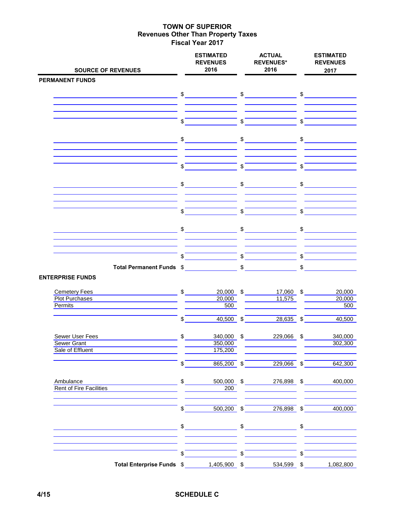| <b>SOURCE OF REVENUES</b>                           |                | <b>ESTIMATED</b><br><b>REVENUES</b><br>2016 |                           | <b>ACTUAL</b><br><b>REVENUES*</b><br>2016 |               | <b>ESTIMATED</b><br><b>REVENUES</b><br>2017 |
|-----------------------------------------------------|----------------|---------------------------------------------|---------------------------|-------------------------------------------|---------------|---------------------------------------------|
| <b>PERMANENT FUNDS</b>                              |                |                                             |                           |                                           |               |                                             |
|                                                     |                | $\mathfrak s$                               |                           | $\frac{1}{\sqrt{2}}$                      |               | $\sim$                                      |
|                                                     |                |                                             |                           |                                           |               |                                             |
|                                                     | \$             |                                             | \$                        |                                           | \$            |                                             |
|                                                     |                | $\frac{1}{2}$                               |                           | $\frac{1}{\sqrt{2}}$                      |               | $\frac{1}{2}$                               |
|                                                     | $\mathfrak{S}$ |                                             | $\sqrt{s}$                |                                           | $\sqrt{3}$    |                                             |
| <u> 1990 - Johann Barbara, martin a</u>             |                | $\sim$                                      |                           | $\sim$                                    |               | $\sim$                                      |
|                                                     |                |                                             |                           |                                           |               |                                             |
|                                                     | \$             |                                             | $\mathfrak{s}$            |                                           | $\mathsf{s}$  |                                             |
|                                                     | \$             |                                             | \$                        |                                           | $\frac{1}{2}$ |                                             |
|                                                     | $\mathbb{S}$   |                                             | $\mathfrak{s}$            |                                           | \$            |                                             |
| Total Permanent Funds \$<br><b>ENTERPRISE FUNDS</b> |                |                                             |                           | $\mathfrak s$                             | \$            |                                             |
| <b>Cemetery Fees</b>                                | $\frac{1}{2}$  | 20,000                                      | \$                        | 17,060 \$                                 |               | 20,000                                      |
| Plot Purchases                                      |                | 20,000                                      |                           | 11,575                                    |               | 20,000                                      |
| <b>Permits</b>                                      |                | 500                                         |                           |                                           |               | 500                                         |
|                                                     | \$             | 40,500                                      | $\boldsymbol{\mathsf{S}}$ | $28,635$ \$                               |               | 40,500                                      |
| Sewer User Fees                                     | \$             | 340,000 \$                                  |                           | 229,066 \$                                |               | 340,000                                     |
| <b>Sewer Grant</b><br>Sale of Effluent              |                | 350,000<br>175,200                          |                           |                                           |               | 302,300                                     |
|                                                     | \$             | $865,200$ \$                                |                           | $229,066$ \$                              |               | 642,300                                     |
|                                                     |                |                                             |                           |                                           |               |                                             |
| Ambulance<br><b>Rent of Fire Facilities</b>         | \$             | 500,000 \$<br>200                           |                           | 276,898 \$                                |               | 400,000                                     |
|                                                     | \$             | 500,200 \$                                  |                           | $276,898$ \$                              |               | 400,000                                     |
|                                                     |                | $\frac{1}{2}$                               | \$                        |                                           | $\frac{2}{3}$ |                                             |
|                                                     | \$             |                                             | $\mathbb S$               |                                           | \$            |                                             |
| Total Enterprise Funds \$                           |                | 1,405,900 \$                                |                           | 534,599 \$                                |               | 1,082,800                                   |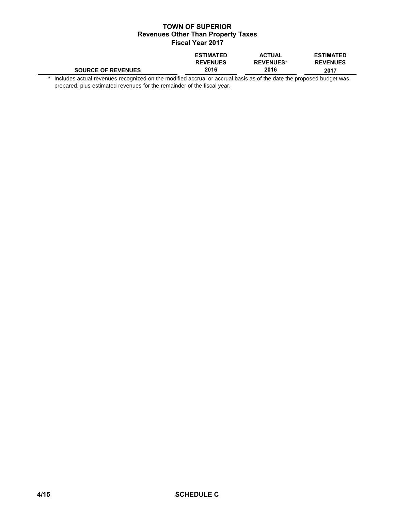|                           | <b>ESTIMATED</b> | <b>ACTUAL</b>    | <b>ESTIMATED</b> |
|---------------------------|------------------|------------------|------------------|
|                           | <b>REVENUES</b>  | <b>REVENUES*</b> | <b>REVENUES</b>  |
| <b>SOURCE OF REVENUES</b> | 2016             | 2016             | 2017             |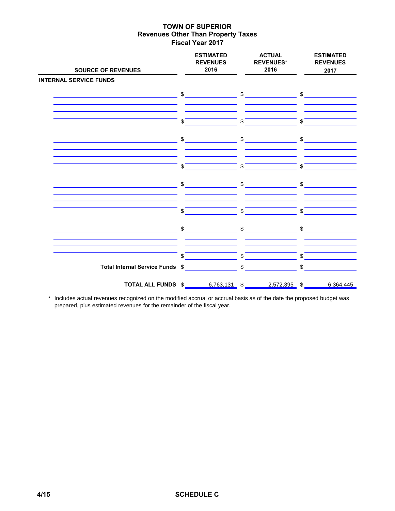| <b>SOURCE OF REVENUES</b>       | <b>ESTIMATED</b><br><b>REVENUES</b><br>2016                                                                                                                                                                                                                                                                                                                         | <b>ACTUAL</b><br><b>REVENUES*</b><br>2016 | <b>ESTIMATED</b><br><b>REVENUES</b><br>2017 |
|---------------------------------|---------------------------------------------------------------------------------------------------------------------------------------------------------------------------------------------------------------------------------------------------------------------------------------------------------------------------------------------------------------------|-------------------------------------------|---------------------------------------------|
| <b>INTERNAL SERVICE FUNDS</b>   |                                                                                                                                                                                                                                                                                                                                                                     |                                           |                                             |
|                                 | $\begin{array}{c c} \updownarrow \end{array}$                                                                                                                                                                                                                                                                                                                       | $\mathfrak{S}$                            | $\sim$                                      |
|                                 | \$                                                                                                                                                                                                                                                                                                                                                                  | \$                                        | \$                                          |
|                                 | $\frac{2}{3}$                                                                                                                                                                                                                                                                                                                                                       | \$                                        | $\mathfrak{S}$                              |
|                                 | \$                                                                                                                                                                                                                                                                                                                                                                  | \$                                        | \$                                          |
|                                 | $\frac{1}{2}$                                                                                                                                                                                                                                                                                                                                                       | $\sim$                                    | $\sim$                                      |
|                                 | \$                                                                                                                                                                                                                                                                                                                                                                  | \$                                        | \$                                          |
|                                 | $\begin{picture}(20,10) \put(0,0){\vector(1,0){100}} \put(15,0){\vector(1,0){100}} \put(15,0){\vector(1,0){100}} \put(15,0){\vector(1,0){100}} \put(15,0){\vector(1,0){100}} \put(15,0){\vector(1,0){100}} \put(15,0){\vector(1,0){100}} \put(15,0){\vector(1,0){100}} \put(15,0){\vector(1,0){100}} \put(15,0){\vector(1,0){100}} \put(15,0){\vector(1,0){100}} \$ | $\int$                                    | $\frac{1}{\sqrt{2}}$                        |
|                                 | \$                                                                                                                                                                                                                                                                                                                                                                  | \$                                        | \$                                          |
| Total Internal Service Funds \$ |                                                                                                                                                                                                                                                                                                                                                                     | $\sqrt[6]{\frac{1}{2}}$                   | \$                                          |
| TOTAL ALL FUNDS \$              | $6,763,131$ \$                                                                                                                                                                                                                                                                                                                                                      | 2,572,395 \$                              | 6,364,445                                   |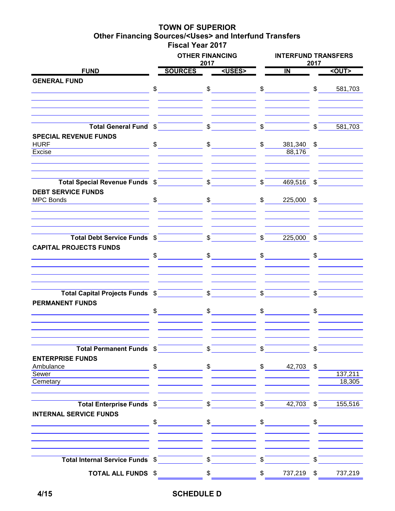### **TOWN OF SUPERIOR Other Financing Sources/<Uses> and Interfund Transfers Fiscal Year 2017**

|                                                                    | <b>OTHER FINANCING</b><br>2017 |                                                                                                                                                                                                                                                                                                                                                                                                                                                                 |                       | <b>INTERFUND TRANSFERS</b>            | 2017                  |                          |  |  |
|--------------------------------------------------------------------|--------------------------------|-----------------------------------------------------------------------------------------------------------------------------------------------------------------------------------------------------------------------------------------------------------------------------------------------------------------------------------------------------------------------------------------------------------------------------------------------------------------|-----------------------|---------------------------------------|-----------------------|--------------------------|--|--|
| <b>FUND</b>                                                        | <b>SOURCES</b>                 | <uses></uses>                                                                                                                                                                                                                                                                                                                                                                                                                                                   |                       | $\overline{\mathsf{I}}$               |                       | <out></out>              |  |  |
| <b>GENERAL FUND</b>                                                |                                |                                                                                                                                                                                                                                                                                                                                                                                                                                                                 |                       |                                       |                       |                          |  |  |
|                                                                    | $\frac{1}{2}$                  | $\frac{1}{2}$ $\frac{1}{2}$ $\frac{1}{2}$ $\frac{1}{2}$ $\frac{1}{2}$ $\frac{1}{2}$ $\frac{1}{2}$ $\frac{1}{2}$ $\frac{1}{2}$ $\frac{1}{2}$ $\frac{1}{2}$ $\frac{1}{2}$ $\frac{1}{2}$ $\frac{1}{2}$ $\frac{1}{2}$ $\frac{1}{2}$ $\frac{1}{2}$ $\frac{1}{2}$ $\frac{1}{2}$ $\frac{1}{2}$ $\frac{1}{2}$ $\frac{1}{2}$                                                                                                                                             |                       |                                       |                       | $\frac{1}{2}$<br>581,703 |  |  |
|                                                                    |                                |                                                                                                                                                                                                                                                                                                                                                                                                                                                                 |                       |                                       |                       |                          |  |  |
|                                                                    |                                |                                                                                                                                                                                                                                                                                                                                                                                                                                                                 |                       |                                       |                       |                          |  |  |
|                                                                    |                                |                                                                                                                                                                                                                                                                                                                                                                                                                                                                 |                       |                                       |                       |                          |  |  |
| Total General Fund \$                                              |                                | $\sqrt{5}$                                                                                                                                                                                                                                                                                                                                                                                                                                                      | $\mathcal{S}$         |                                       | $\overline{\text{S}}$ | 581,703                  |  |  |
| <b>SPECIAL REVENUE FUNDS</b>                                       |                                |                                                                                                                                                                                                                                                                                                                                                                                                                                                                 |                       |                                       |                       |                          |  |  |
| <b>HURF</b><br><u> 1980 - Johann Marie Barn, mars eta bainar e</u> | $\frac{1}{2}$                  | $\frac{1}{2}$                                                                                                                                                                                                                                                                                                                                                                                                                                                   |                       | $\frac{1}{2}$                         |                       | $381,340$ \$             |  |  |
| Excise                                                             |                                |                                                                                                                                                                                                                                                                                                                                                                                                                                                                 |                       | 88,176                                |                       |                          |  |  |
|                                                                    |                                |                                                                                                                                                                                                                                                                                                                                                                                                                                                                 |                       |                                       |                       |                          |  |  |
|                                                                    |                                |                                                                                                                                                                                                                                                                                                                                                                                                                                                                 |                       |                                       |                       |                          |  |  |
| Total Special Revenue Funds \$                                     |                                |                                                                                                                                                                                                                                                                                                                                                                                                                                                                 |                       | $\int$<br>$469,516$ \$                |                       |                          |  |  |
| <b>DEBT SERVICE FUNDS</b>                                          |                                |                                                                                                                                                                                                                                                                                                                                                                                                                                                                 |                       |                                       |                       |                          |  |  |
| <b>MPC Bonds</b>                                                   | $\sim$                         | $\text{\$}$ $\text{\$}$ 225,000 \$                                                                                                                                                                                                                                                                                                                                                                                                                              |                       |                                       |                       |                          |  |  |
|                                                                    |                                |                                                                                                                                                                                                                                                                                                                                                                                                                                                                 |                       |                                       |                       |                          |  |  |
|                                                                    |                                |                                                                                                                                                                                                                                                                                                                                                                                                                                                                 |                       |                                       |                       |                          |  |  |
| Total Debt Service Funds \$                                        |                                |                                                                                                                                                                                                                                                                                                                                                                                                                                                                 |                       | $\overline{\text{S}}$<br>$225,000$ \$ |                       |                          |  |  |
| <b>CAPITAL PROJECTS FUNDS</b>                                      |                                |                                                                                                                                                                                                                                                                                                                                                                                                                                                                 |                       |                                       |                       |                          |  |  |
|                                                                    | $\sim$                         |                                                                                                                                                                                                                                                                                                                                                                                                                                                                 |                       |                                       |                       | $\frac{1}{2}$            |  |  |
|                                                                    |                                |                                                                                                                                                                                                                                                                                                                                                                                                                                                                 |                       |                                       |                       |                          |  |  |
|                                                                    |                                |                                                                                                                                                                                                                                                                                                                                                                                                                                                                 |                       |                                       |                       |                          |  |  |
| Total Capital Projects Funds \$                                    |                                | $\mathcal{S}^-$                                                                                                                                                                                                                                                                                                                                                                                                                                                 | $\mathbb{S}$          |                                       | \$                    |                          |  |  |
| <b>PERMANENT FUNDS</b>                                             |                                |                                                                                                                                                                                                                                                                                                                                                                                                                                                                 |                       |                                       |                       |                          |  |  |
|                                                                    | $\frac{1}{2}$                  | $\mathfrak s$                                                                                                                                                                                                                                                                                                                                                                                                                                                   |                       | $\sim$                                | $\mathbb{S}$          |                          |  |  |
|                                                                    |                                |                                                                                                                                                                                                                                                                                                                                                                                                                                                                 |                       |                                       |                       |                          |  |  |
|                                                                    |                                |                                                                                                                                                                                                                                                                                                                                                                                                                                                                 |                       |                                       |                       |                          |  |  |
| Total Permanent Funds \$                                           |                                | $\overline{\mathbb{S}}$                                                                                                                                                                                                                                                                                                                                                                                                                                         | $\mathbb S$           |                                       | \$                    |                          |  |  |
| <b>ENTERPRISE FUNDS</b>                                            |                                |                                                                                                                                                                                                                                                                                                                                                                                                                                                                 |                       |                                       |                       |                          |  |  |
| Ambulance                                                          | $\sim$                         | $\frac{1}{2}$ \$ 42,703 \$                                                                                                                                                                                                                                                                                                                                                                                                                                      |                       |                                       |                       |                          |  |  |
| Sewer                                                              |                                |                                                                                                                                                                                                                                                                                                                                                                                                                                                                 |                       |                                       |                       | 137,211                  |  |  |
| Cemetary                                                           |                                |                                                                                                                                                                                                                                                                                                                                                                                                                                                                 |                       |                                       |                       | 18,305                   |  |  |
|                                                                    |                                |                                                                                                                                                                                                                                                                                                                                                                                                                                                                 |                       |                                       |                       |                          |  |  |
| Total Enterprise Funds \$                                          |                                | $\boldsymbol{\mathsf{S}}$                                                                                                                                                                                                                                                                                                                                                                                                                                       | $\mathcal{S}^-$       | $42,703$ \$                           |                       | 155,516                  |  |  |
| <b>INTERNAL SERVICE FUNDS</b>                                      |                                |                                                                                                                                                                                                                                                                                                                                                                                                                                                                 |                       |                                       |                       |                          |  |  |
|                                                                    |                                | $\begin{array}{ccc}\n\text{\$} & \text{\$} & \text{\$} & \text{\$} & \text{\$} & \text{\$} & \text{\$} & \text{\$} & \text{\$} & \text{\$} & \text{\$} & \text{\$} & \text{\$} & \text{\$} & \text{\$} & \text{\$} & \text{\$} & \text{\$} & \text{\$} & \text{\$} & \text{\$} & \text{\$} & \text{\$} & \text{\$} & \text{\$} & \text{\$} & \text{\$} & \text{\$} & \text{\$} & \text{\$} & \text{\$} & \text{\$} & \text{\$} & \text{\$} & \text{\$} & \text$ |                       |                                       |                       | $\frac{1}{\sqrt{2}}$     |  |  |
|                                                                    |                                |                                                                                                                                                                                                                                                                                                                                                                                                                                                                 |                       |                                       |                       |                          |  |  |
|                                                                    |                                |                                                                                                                                                                                                                                                                                                                                                                                                                                                                 | $\sigma$ <sup>-</sup> |                                       |                       |                          |  |  |
| Total Internal Service Funds \$ \$ \$                              |                                |                                                                                                                                                                                                                                                                                                                                                                                                                                                                 |                       |                                       | $\mathbb{S}$          |                          |  |  |
| <b>TOTAL ALL FUNDS \$</b>                                          |                                | $\frac{1}{2}$                                                                                                                                                                                                                                                                                                                                                                                                                                                   | $\frac{1}{2}$         | 737,219 \$                            |                       | 737,219                  |  |  |

# **4/15 SCHEDULE D**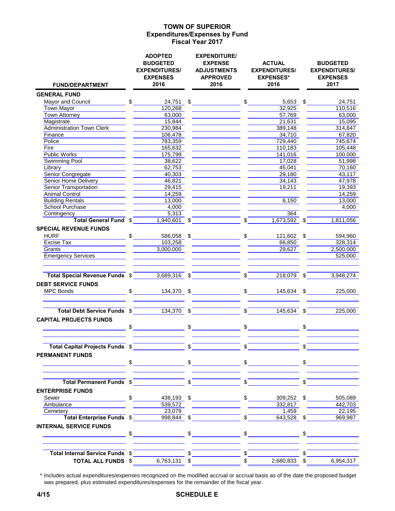#### **Expenditures/Expenses by Fund Fiscal Year 2017 TOWN OF SUPERIOR**

| <b>FUND/DEPARTMENT</b>                              | <b>ADOPTED</b><br><b>BUDGETED</b><br><b>EXPENDITURES/</b><br><b>EXPENSES</b><br>2016 |               | <b>EXPENDITURE/</b><br><b>EXPENSE</b><br><b>ADJUSTMENTS</b><br><b>APPROVED</b><br>2016                                       |              | <b>ACTUAL</b><br><b>EXPENDITURES/</b><br><b>EXPENSES*</b><br>2016                                                                                                                                                                                                                                                                                                   |               | <b>BUDGETED</b><br><b>EXPENDITURES/</b><br><b>EXPENSES</b><br>2017 |
|-----------------------------------------------------|--------------------------------------------------------------------------------------|---------------|------------------------------------------------------------------------------------------------------------------------------|--------------|---------------------------------------------------------------------------------------------------------------------------------------------------------------------------------------------------------------------------------------------------------------------------------------------------------------------------------------------------------------------|---------------|--------------------------------------------------------------------|
| <b>GENERAL FUND</b>                                 |                                                                                      |               |                                                                                                                              |              |                                                                                                                                                                                                                                                                                                                                                                     |               |                                                                    |
| Mayor and Council Mayor and Council                 | $$\overline{\hspace{1.5em}}$$                                                        |               | $24,751$ \$                                                                                                                  |              | \$<br>$5,653$ \$                                                                                                                                                                                                                                                                                                                                                    |               | 24,751                                                             |
| <b>Town Mayor</b>                                   | 120,268                                                                              |               |                                                                                                                              |              | 32,925                                                                                                                                                                                                                                                                                                                                                              |               | 110,516                                                            |
| <b>Town Attorney</b>                                | 63,000                                                                               |               |                                                                                                                              |              | 57,769                                                                                                                                                                                                                                                                                                                                                              |               | 63,000                                                             |
| Magistrate                                          | 15,844                                                                               |               |                                                                                                                              |              | 21,631                                                                                                                                                                                                                                                                                                                                                              |               | 15,095                                                             |
| <b>Administration Town Clerk</b>                    | 230,984                                                                              |               |                                                                                                                              |              | 389,148                                                                                                                                                                                                                                                                                                                                                             |               | 314,847                                                            |
| Finance                                             | 106,478                                                                              |               |                                                                                                                              |              | 34,710                                                                                                                                                                                                                                                                                                                                                              |               | 67,820                                                             |
| Police                                              | 783,359                                                                              |               |                                                                                                                              |              | 729,440                                                                                                                                                                                                                                                                                                                                                             |               | 745,674                                                            |
| Fire                                                | 165,632                                                                              |               |                                                                                                                              |              | 110,183                                                                                                                                                                                                                                                                                                                                                             |               | 105,448                                                            |
| <b>Public Works</b>                                 | 175,799                                                                              |               |                                                                                                                              |              | 141,016                                                                                                                                                                                                                                                                                                                                                             |               | 100,000                                                            |
| <b>Swimming Pool</b>                                | 38,622                                                                               |               |                                                                                                                              |              | 17,028                                                                                                                                                                                                                                                                                                                                                              |               | 51,998                                                             |
| Library                                             | 62,753                                                                               |               |                                                                                                                              |              | 45,041                                                                                                                                                                                                                                                                                                                                                              |               | 70,160                                                             |
| Senior Congregate                                   | 40,303                                                                               |               |                                                                                                                              |              | 29,180                                                                                                                                                                                                                                                                                                                                                              |               | 43,117                                                             |
| Senior Home Delivery                                | 46,821                                                                               |               |                                                                                                                              |              | 34,143                                                                                                                                                                                                                                                                                                                                                              |               | 47,978                                                             |
| <b>Senior Transportation</b>                        | 29,415                                                                               |               |                                                                                                                              |              | 19,211                                                                                                                                                                                                                                                                                                                                                              |               | 19,393                                                             |
| Animal Control                                      | 14,259                                                                               |               |                                                                                                                              |              |                                                                                                                                                                                                                                                                                                                                                                     |               | 14,259                                                             |
| <b>Building Rentals</b>                             | 13,000                                                                               |               |                                                                                                                              |              | 6,150                                                                                                                                                                                                                                                                                                                                                               |               | 13,000                                                             |
| <b>School Purchase</b>                              | 4,000                                                                                |               |                                                                                                                              |              |                                                                                                                                                                                                                                                                                                                                                                     |               | 4,000                                                              |
| Contingency                                         | 5,313                                                                                |               |                                                                                                                              |              | 364                                                                                                                                                                                                                                                                                                                                                                 |               |                                                                    |
| <b>Total General Fund \$</b>                        | $1,940,601$ \$                                                                       |               |                                                                                                                              | $\mathbf{s}$ | $1,673,592$ \$                                                                                                                                                                                                                                                                                                                                                      |               | 1,811,056                                                          |
| <b>SPECIAL REVENUE FUNDS</b>                        |                                                                                      |               |                                                                                                                              |              |                                                                                                                                                                                                                                                                                                                                                                     |               |                                                                    |
| <b>HURF</b>                                         | $\frac{1}{2}$                                                                        |               |                                                                                                                              |              | 586,058 \$ \$ 121,602 \$                                                                                                                                                                                                                                                                                                                                            |               | 594,960                                                            |
| Excise Tax                                          | 103,258                                                                              |               |                                                                                                                              |              | 66,850                                                                                                                                                                                                                                                                                                                                                              |               | 328,314                                                            |
| Grants                                              | 3,000,000                                                                            |               |                                                                                                                              |              | 29,627                                                                                                                                                                                                                                                                                                                                                              |               | 2,500,000                                                          |
| <b>Emergency Services</b>                           |                                                                                      |               |                                                                                                                              |              |                                                                                                                                                                                                                                                                                                                                                                     |               | 525,000                                                            |
|                                                     |                                                                                      |               |                                                                                                                              |              |                                                                                                                                                                                                                                                                                                                                                                     |               |                                                                    |
| Total Special Revenue Funds \$1,689,316 \$1,689,316 |                                                                                      |               |                                                                                                                              |              | $\sqrt{S}$<br>$218,079$ \$                                                                                                                                                                                                                                                                                                                                          |               | 3,948,274                                                          |
| <b>DEBT SERVICE FUNDS</b>                           |                                                                                      |               |                                                                                                                              |              |                                                                                                                                                                                                                                                                                                                                                                     |               |                                                                    |
| MPC Bonds                                           | $\frac{134,370}{8}$ \$                                                               |               |                                                                                                                              |              |                                                                                                                                                                                                                                                                                                                                                                     |               | $145,634$ \$<br>225,000                                            |
|                                                     |                                                                                      |               |                                                                                                                              |              |                                                                                                                                                                                                                                                                                                                                                                     |               |                                                                    |
| Total Debt Service Funds \$134,370 \$               |                                                                                      |               | $\overline{\phantom{a}}$ $\overline{\phantom{a}}$ $\overline{\phantom{a}}$ $\overline{\phantom{a}}$ $\overline{\phantom{a}}$ |              | $145,634$ \$                                                                                                                                                                                                                                                                                                                                                        |               | 225,000                                                            |
| <b>CAPITAL PROJECTS FUNDS</b>                       |                                                                                      |               |                                                                                                                              |              |                                                                                                                                                                                                                                                                                                                                                                     |               |                                                                    |
|                                                     | $\sim$                                                                               |               | $\sim$                                                                                                                       |              | $\begin{picture}(20,10) \put(0,0){\vector(1,0){100}} \put(15,0){\vector(1,0){100}} \put(15,0){\vector(1,0){100}} \put(15,0){\vector(1,0){100}} \put(15,0){\vector(1,0){100}} \put(15,0){\vector(1,0){100}} \put(15,0){\vector(1,0){100}} \put(15,0){\vector(1,0){100}} \put(15,0){\vector(1,0){100}} \put(15,0){\vector(1,0){100}} \put(15,0){\vector(1,0){100}} \$ | $\frac{1}{2}$ |                                                                    |
| Total Capital Projects Funds \$                     |                                                                                      | $\mathcal{S}$ |                                                                                                                              | $\mathbb{S}$ |                                                                                                                                                                                                                                                                                                                                                                     | \$            |                                                                    |
|                                                     |                                                                                      |               |                                                                                                                              |              |                                                                                                                                                                                                                                                                                                                                                                     |               |                                                                    |
| <b>PERMANENT FUNDS</b>                              | $\mathfrak{S}$                                                                       |               | $\mathfrak{S}$                                                                                                               |              | $\sim$                                                                                                                                                                                                                                                                                                                                                              |               | $\sim$                                                             |
|                                                     |                                                                                      |               |                                                                                                                              |              |                                                                                                                                                                                                                                                                                                                                                                     |               |                                                                    |
| Total Permanent Funds \$                            |                                                                                      |               | $\overline{\mathbb{S}}$                                                                                                      | \$           |                                                                                                                                                                                                                                                                                                                                                                     | \$            |                                                                    |
| <b>ENTERPRISE FUNDS</b>                             |                                                                                      |               |                                                                                                                              |              |                                                                                                                                                                                                                                                                                                                                                                     |               |                                                                    |
| Sewer Sewer Sewer Sewer                             | $\mathsf{S}$<br>436,193 \$                                                           |               |                                                                                                                              |              | $\mathbb{S}$<br>309,252 \$                                                                                                                                                                                                                                                                                                                                          |               | 505,089                                                            |
| Ambulance                                           | 539,572                                                                              |               |                                                                                                                              |              | 332,817                                                                                                                                                                                                                                                                                                                                                             |               | 442,703                                                            |
| Cemetery                                            | 23,079                                                                               |               |                                                                                                                              |              | 1,459                                                                                                                                                                                                                                                                                                                                                               |               | 22,195                                                             |
| Total Enterprise Funds \$                           | 998,844 \$                                                                           |               |                                                                                                                              |              | 643,528 \$                                                                                                                                                                                                                                                                                                                                                          |               | 969,987                                                            |
| <b>INTERNAL SERVICE FUNDS</b>                       |                                                                                      |               |                                                                                                                              |              |                                                                                                                                                                                                                                                                                                                                                                     |               |                                                                    |
|                                                     | $\frac{1}{2}$                                                                        | \$            |                                                                                                                              |              | $\sim$                                                                                                                                                                                                                                                                                                                                                              |               |                                                                    |
|                                                     |                                                                                      |               |                                                                                                                              |              |                                                                                                                                                                                                                                                                                                                                                                     |               |                                                                    |
| Total Internal Service Funds \$                     |                                                                                      |               |                                                                                                                              |              |                                                                                                                                                                                                                                                                                                                                                                     |               |                                                                    |
| <b>TOTAL ALL FUNDS \$</b>                           | 6,763,131 \$                                                                         |               |                                                                                                                              | $\mathbb{S}$ | 2,680,833 \$                                                                                                                                                                                                                                                                                                                                                        |               | 6,954,317                                                          |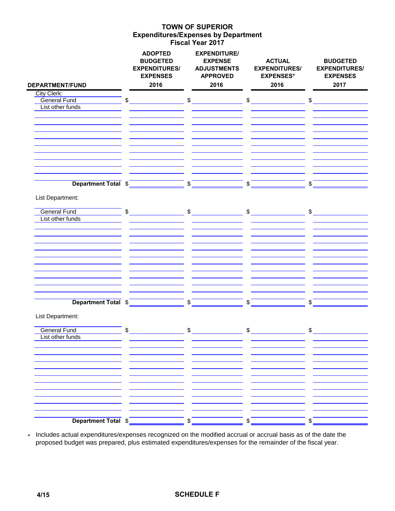#### **Expenditures/Expenses by Department Fiscal Year 2017 TOWN OF SUPERIOR**

|                                    | <b>ADOPTED</b><br><b>BUDGETED</b><br><b>EXPENDITURES/</b><br><b>EXPENSES</b><br>2016 | <b>EXPENDITURE/</b><br><b>EXPENSE</b><br><b>ADJUSTMENTS</b><br><b>APPROVED</b><br>2016 | <b>ACTUAL</b><br><b>EXPENDITURES/</b><br><b>EXPENSES*</b><br>2016 | <b>BUDGETED</b><br><b>EXPENDITURES/</b><br><b>EXPENSES</b><br>2017 |
|------------------------------------|--------------------------------------------------------------------------------------|----------------------------------------------------------------------------------------|-------------------------------------------------------------------|--------------------------------------------------------------------|
| <b>DEPARTMENT/FUND</b>             |                                                                                      |                                                                                        |                                                                   |                                                                    |
| City Clerk:<br><b>General Fund</b> | \$                                                                                   | $\frac{1}{2}$                                                                          | $\frac{1}{2}$                                                     | \$                                                                 |
| List other funds                   |                                                                                      |                                                                                        |                                                                   |                                                                    |
|                                    |                                                                                      |                                                                                        |                                                                   |                                                                    |
|                                    |                                                                                      |                                                                                        |                                                                   |                                                                    |
|                                    |                                                                                      |                                                                                        |                                                                   |                                                                    |
|                                    |                                                                                      |                                                                                        |                                                                   |                                                                    |
|                                    |                                                                                      |                                                                                        |                                                                   |                                                                    |
|                                    |                                                                                      |                                                                                        |                                                                   |                                                                    |
|                                    |                                                                                      |                                                                                        |                                                                   |                                                                    |
|                                    |                                                                                      |                                                                                        |                                                                   |                                                                    |
|                                    |                                                                                      |                                                                                        |                                                                   |                                                                    |
|                                    | Department Total \$                                                                  | \$                                                                                     | \$                                                                | \$                                                                 |
|                                    |                                                                                      |                                                                                        |                                                                   |                                                                    |
| List Department:                   |                                                                                      |                                                                                        |                                                                   |                                                                    |
|                                    |                                                                                      |                                                                                        |                                                                   |                                                                    |
| <b>General Fund</b>                | \$                                                                                   | $\sim$                                                                                 | $\frac{1}{2}$                                                     | \$                                                                 |
| List other funds                   |                                                                                      |                                                                                        |                                                                   |                                                                    |
|                                    |                                                                                      |                                                                                        |                                                                   |                                                                    |
|                                    |                                                                                      |                                                                                        |                                                                   |                                                                    |
|                                    |                                                                                      |                                                                                        |                                                                   |                                                                    |
|                                    |                                                                                      |                                                                                        |                                                                   |                                                                    |
|                                    |                                                                                      |                                                                                        |                                                                   |                                                                    |
|                                    |                                                                                      |                                                                                        |                                                                   |                                                                    |
|                                    |                                                                                      |                                                                                        |                                                                   |                                                                    |
|                                    |                                                                                      |                                                                                        |                                                                   |                                                                    |
|                                    |                                                                                      |                                                                                        |                                                                   |                                                                    |
| Department Total \$                |                                                                                      | \$                                                                                     | \$                                                                | \$                                                                 |
|                                    |                                                                                      |                                                                                        |                                                                   |                                                                    |
| List Department:                   |                                                                                      |                                                                                        |                                                                   |                                                                    |
|                                    |                                                                                      |                                                                                        |                                                                   |                                                                    |
| <b>General Fund</b>                | \$                                                                                   | $\frac{1}{2}$                                                                          | $\frac{1}{2}$                                                     | \$                                                                 |
| List other funds                   |                                                                                      |                                                                                        |                                                                   |                                                                    |
|                                    |                                                                                      |                                                                                        |                                                                   |                                                                    |
|                                    |                                                                                      |                                                                                        |                                                                   |                                                                    |
|                                    |                                                                                      |                                                                                        |                                                                   |                                                                    |
|                                    |                                                                                      |                                                                                        |                                                                   |                                                                    |
|                                    |                                                                                      |                                                                                        |                                                                   |                                                                    |
|                                    |                                                                                      |                                                                                        |                                                                   |                                                                    |
|                                    |                                                                                      |                                                                                        |                                                                   |                                                                    |
|                                    |                                                                                      |                                                                                        |                                                                   |                                                                    |
|                                    |                                                                                      |                                                                                        |                                                                   |                                                                    |
| Department Total \$                |                                                                                      | \$                                                                                     | \$                                                                | \$                                                                 |
|                                    |                                                                                      |                                                                                        |                                                                   |                                                                    |

\* Includes actual expenditures/expenses recognized on the modified accrual or accrual basis as of the date the proposed budget was prepared, plus estimated expenditures/expenses for the remainder of the fiscal year.

### **4/15 SCHEDULE F**